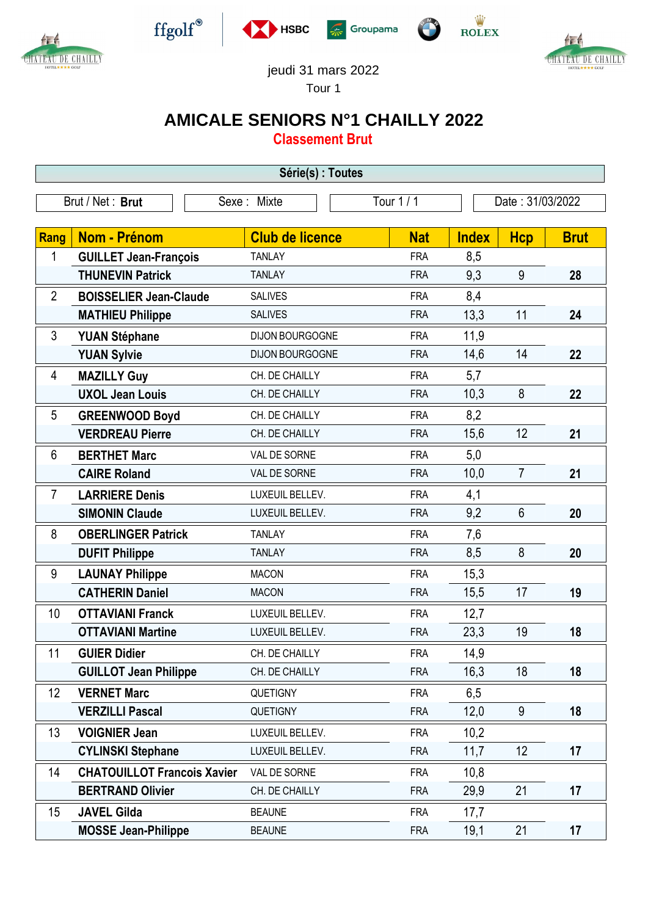



 $\operatorname{ffgolf}^{\circledast}$ 







jeudi 31 mars 2022

Tour 1

## **AMICALE SENIORS N°1 CHAILLY 2022**

**Classement Brut**

| Série(s) : Toutes |                                    |                        |            |                  |                |             |  |
|-------------------|------------------------------------|------------------------|------------|------------------|----------------|-------------|--|
|                   | Brut / Net: Brut                   | Sexe: Mixte            | Tour 1 / 1 | Date: 31/03/2022 |                |             |  |
| Rang              | <b>Nom - Prénom</b>                | <b>Club de licence</b> | <b>Nat</b> | <b>Index</b>     | <b>Hcp</b>     | <b>Brut</b> |  |
| 1                 | <b>GUILLET Jean-François</b>       | <b>TANLAY</b>          | <b>FRA</b> | 8,5              |                |             |  |
|                   | <b>THUNEVIN Patrick</b>            | <b>TANLAY</b>          | <b>FRA</b> | 9,3              | 9              | 28          |  |
| $\overline{2}$    | <b>BOISSELIER Jean-Claude</b>      | <b>SALIVES</b>         | <b>FRA</b> | 8,4              |                |             |  |
|                   | <b>MATHIEU Philippe</b>            | <b>SALIVES</b>         | <b>FRA</b> | 13,3             | 11             | 24          |  |
| 3                 | <b>YUAN Stéphane</b>               | DIJON BOURGOGNE        | <b>FRA</b> | 11,9             |                |             |  |
|                   | <b>YUAN Sylvie</b>                 | DIJON BOURGOGNE        | <b>FRA</b> | 14,6             | 14             | 22          |  |
| 4                 | <b>MAZILLY Guy</b>                 | CH. DE CHAILLY         | <b>FRA</b> | 5,7              |                |             |  |
|                   | <b>UXOL Jean Louis</b>             | CH. DE CHAILLY         | <b>FRA</b> | 10,3             | 8              | 22          |  |
| 5                 | <b>GREENWOOD Boyd</b>              | CH. DE CHAILLY         | <b>FRA</b> | 8,2              |                |             |  |
|                   | <b>VERDREAU Pierre</b>             | CH. DE CHAILLY         | <b>FRA</b> | 15,6             | 12             | 21          |  |
| 6                 | <b>BERTHET Marc</b>                | VAL DE SORNE           | <b>FRA</b> | 5,0              |                |             |  |
|                   | <b>CAIRE Roland</b>                | VAL DE SORNE           | <b>FRA</b> | 10,0             | $\overline{7}$ | 21          |  |
| $\overline{7}$    | <b>LARRIERE Denis</b>              | LUXEUIL BELLEV.        | <b>FRA</b> | 4,1              |                |             |  |
|                   | <b>SIMONIN Claude</b>              | LUXEUIL BELLEV.        | <b>FRA</b> | 9,2              | $6\phantom{1}$ | 20          |  |
| 8                 | <b>OBERLINGER Patrick</b>          | <b>TANLAY</b>          | <b>FRA</b> | 7,6              |                |             |  |
|                   | <b>DUFIT Philippe</b>              | <b>TANLAY</b>          | <b>FRA</b> | 8,5              | 8              | 20          |  |
| 9                 | <b>LAUNAY Philippe</b>             | <b>MACON</b>           | <b>FRA</b> | 15,3             |                |             |  |
|                   | <b>CATHERIN Daniel</b>             | <b>MACON</b>           | <b>FRA</b> | 15,5             | 17             | 19          |  |
| 10                | <b>OTTAVIANI Franck</b>            | LUXEUIL BELLEV.        | <b>FRA</b> | 12,7             |                |             |  |
|                   | <b>OTTAVIANI Martine</b>           | LUXEUIL BELLEV.        | <b>FRA</b> | 23,3             | 19             | 18          |  |
| 11                | <b>GUIER Didier</b>                | CH. DE CHAILLY         | <b>FRA</b> | 14,9             |                |             |  |
|                   | <b>GUILLOT Jean Philippe</b>       | CH. DE CHAILLY         | <b>FRA</b> | 16,3             | 18             | 18          |  |
| 12                | <b>VERNET Marc</b>                 | <b>QUETIGNY</b>        | <b>FRA</b> | 6,5              |                |             |  |
|                   | <b>VERZILLI Pascal</b>             | QUETIGNY               | <b>FRA</b> | 12,0             | 9              | 18          |  |
| 13                | <b>VOIGNIER Jean</b>               | LUXEUIL BELLEV.        | <b>FRA</b> | 10,2             |                |             |  |
|                   | <b>CYLINSKI Stephane</b>           | LUXEUIL BELLEV.        | <b>FRA</b> | 11,7             | 12             | 17          |  |
| 14                | <b>CHATOUILLOT Francois Xavier</b> | VAL DE SORNE           | <b>FRA</b> | 10,8             |                |             |  |
|                   | <b>BERTRAND Olivier</b>            | CH. DE CHAILLY         | <b>FRA</b> | 29,9             | 21             | 17          |  |
| 15                | <b>JAVEL Gilda</b>                 | <b>BEAUNE</b>          | <b>FRA</b> | 17,7             |                |             |  |
|                   | <b>MOSSE Jean-Philippe</b>         | <b>BEAUNE</b>          | <b>FRA</b> | 19,1             | 21             | 17          |  |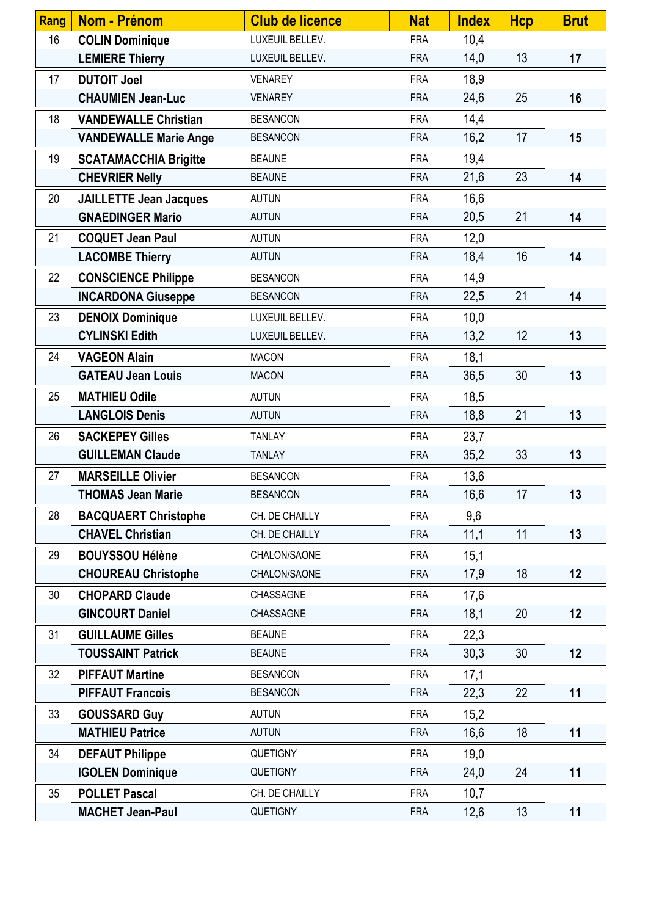| <b>Rang</b> | Nom - Prénom                  | <b>Club de licence</b> | <b>Nat</b> | <b>Index</b> | <b>Hcp</b> | <b>Brut</b> |
|-------------|-------------------------------|------------------------|------------|--------------|------------|-------------|
| 16          | <b>COLIN Dominique</b>        | LUXEUIL BELLEV.        | <b>FRA</b> | 10,4         |            |             |
|             | <b>LEMIERE Thierry</b>        | LUXEUIL BELLEV.        | <b>FRA</b> | 14,0         | 13         | 17          |
| 17          | <b>DUTOIT Joel</b>            | <b>VENAREY</b>         | <b>FRA</b> | 18,9         |            |             |
|             | <b>CHAUMIEN Jean-Luc</b>      | <b>VENAREY</b>         | <b>FRA</b> | 24,6         | 25         | 16          |
| 18          | <b>VANDEWALLE Christian</b>   | <b>BESANCON</b>        | <b>FRA</b> | 14,4         |            |             |
|             | <b>VANDEWALLE Marie Ange</b>  | <b>BESANCON</b>        | <b>FRA</b> | 16,2         | 17         | 15          |
| 19          | <b>SCATAMACCHIA Brigitte</b>  | <b>BEAUNE</b>          | <b>FRA</b> | 19,4         |            |             |
|             | <b>CHEVRIER Nelly</b>         | <b>BEAUNE</b>          | <b>FRA</b> | 21,6         | 23         | 14          |
| 20          | <b>JAILLETTE Jean Jacques</b> | <b>AUTUN</b>           | <b>FRA</b> | 16,6         |            |             |
|             | <b>GNAEDINGER Mario</b>       | <b>AUTUN</b>           | <b>FRA</b> | 20,5         | 21         | 14          |
| 21          | <b>COQUET Jean Paul</b>       | <b>AUTUN</b>           | <b>FRA</b> | 12,0         |            |             |
|             | <b>LACOMBE Thierry</b>        | <b>AUTUN</b>           | <b>FRA</b> | 18,4         | 16         | 14          |
| 22          | <b>CONSCIENCE Philippe</b>    | <b>BESANCON</b>        | <b>FRA</b> | 14,9         |            |             |
|             | <b>INCARDONA Giuseppe</b>     | <b>BESANCON</b>        | <b>FRA</b> | 22,5         | 21         | 14          |
| 23          | <b>DENOIX Dominique</b>       | LUXEUIL BELLEV.        | <b>FRA</b> | 10,0         |            |             |
|             | <b>CYLINSKI Edith</b>         | LUXEUIL BELLEV.        | <b>FRA</b> | 13,2         | 12         | 13          |
| 24          | <b>VAGEON Alain</b>           | <b>MACON</b>           | <b>FRA</b> | 18,1         |            |             |
|             | <b>GATEAU Jean Louis</b>      | <b>MACON</b>           | <b>FRA</b> | 36,5         | 30         | 13          |
| 25          | <b>MATHIEU Odile</b>          | <b>AUTUN</b>           | <b>FRA</b> | 18,5         |            |             |
|             | <b>LANGLOIS Denis</b>         | <b>AUTUN</b>           | <b>FRA</b> | 18,8         | 21         | 13          |
| 26          | <b>SACKEPEY Gilles</b>        | <b>TANLAY</b>          | <b>FRA</b> | 23,7         |            |             |
|             | <b>GUILLEMAN Claude</b>       | <b>TANLAY</b>          | <b>FRA</b> | 35,2         | 33         | 13          |
| 27          | <b>MARSEILLE Olivier</b>      | <b>BESANCON</b>        | <b>FRA</b> | 13,6         |            |             |
|             | <b>THOMAS Jean Marie</b>      | <b>BESANCON</b>        | <b>FRA</b> | 16,6         | 17         | 13          |
| 28          | <b>BACQUAERT Christophe</b>   | CH. DE CHAILLY         | <b>FRA</b> | 9,6          |            |             |
|             | <b>CHAVEL Christian</b>       | CH. DE CHAILLY         | <b>FRA</b> | 11,1         | 11         | 13          |
| 29          | <b>BOUYSSOU Hélène</b>        | CHALON/SAONE           | <b>FRA</b> | 15,1         |            |             |
|             | <b>CHOUREAU Christophe</b>    | CHALON/SAONE           | <b>FRA</b> | 17,9         | 18         | 12          |
| 30          | <b>CHOPARD Claude</b>         | CHASSAGNE              | <b>FRA</b> | 17,6         |            |             |
|             | <b>GINCOURT Daniel</b>        | CHASSAGNE              | <b>FRA</b> | 18,1         | 20         | 12          |
| 31          | <b>GUILLAUME Gilles</b>       | <b>BEAUNE</b>          | <b>FRA</b> | 22,3         |            |             |
|             | <b>TOUSSAINT Patrick</b>      | <b>BEAUNE</b>          | <b>FRA</b> | 30,3         | 30         | 12          |
| 32          | <b>PIFFAUT Martine</b>        | <b>BESANCON</b>        | <b>FRA</b> | 17,1         |            |             |
|             | <b>PIFFAUT Francois</b>       | <b>BESANCON</b>        | <b>FRA</b> | 22,3         | 22         | 11          |
| 33          | <b>GOUSSARD Guy</b>           | <b>AUTUN</b>           | <b>FRA</b> | 15,2         |            |             |
|             | <b>MATHIEU Patrice</b>        | <b>AUTUN</b>           | <b>FRA</b> | 16,6         | 18         | 11          |
| 34          | <b>DEFAUT Philippe</b>        | <b>QUETIGNY</b>        | <b>FRA</b> | 19,0         |            |             |
|             | <b>IGOLEN Dominique</b>       | QUETIGNY               | <b>FRA</b> | 24,0         | 24         | 11          |
| 35          | <b>POLLET Pascal</b>          | CH. DE CHAILLY         | <b>FRA</b> | 10,7         |            |             |
|             | <b>MACHET Jean-Paul</b>       | QUETIGNY               | <b>FRA</b> | 12,6         | 13         | 11          |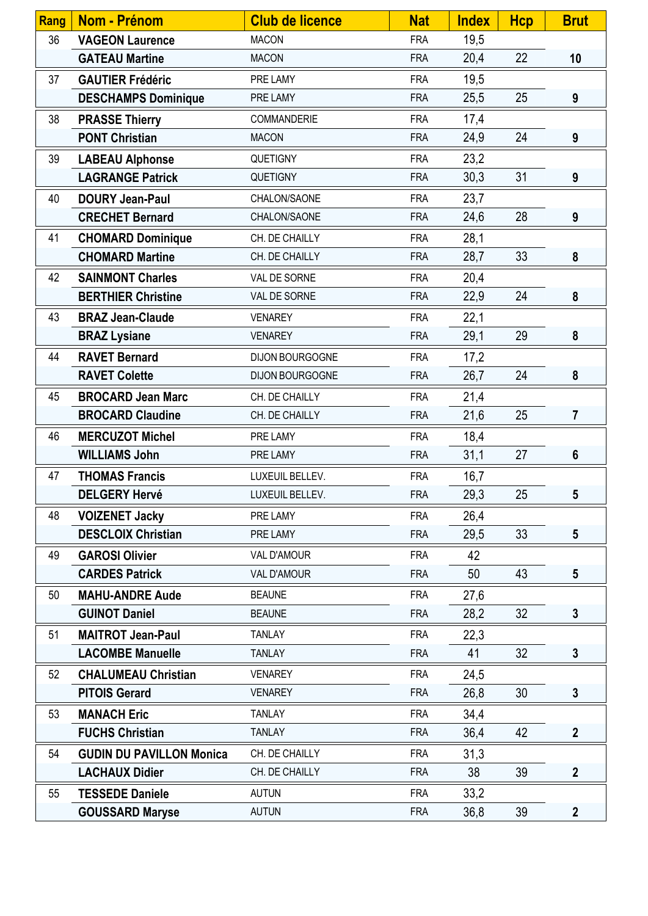| Rang | Nom - Prénom                    | <b>Club de licence</b> | <b>Nat</b> | <b>Index</b> | <b>Hcp</b> | <b>Brut</b>      |
|------|---------------------------------|------------------------|------------|--------------|------------|------------------|
| 36   | <b>VAGEON Laurence</b>          | <b>MACON</b>           | <b>FRA</b> | 19,5         |            |                  |
|      | <b>GATEAU Martine</b>           | <b>MACON</b>           | <b>FRA</b> | 20,4         | 22         | 10               |
| 37   | <b>GAUTIER Frédéric</b>         | PRE LAMY               | <b>FRA</b> | 19,5         |            |                  |
|      | <b>DESCHAMPS Dominique</b>      | PRE LAMY               | <b>FRA</b> | 25,5         | 25         | 9                |
| 38   | <b>PRASSE Thierry</b>           | COMMANDERIE            | <b>FRA</b> | 17,4         |            |                  |
|      | <b>PONT Christian</b>           | <b>MACON</b>           | <b>FRA</b> | 24,9         | 24         | 9                |
| 39   | <b>LABEAU Alphonse</b>          | <b>QUETIGNY</b>        | <b>FRA</b> | 23,2         |            |                  |
|      | <b>LAGRANGE Patrick</b>         | QUETIGNY               | <b>FRA</b> | 30,3         | 31         | 9                |
| 40   | <b>DOURY Jean-Paul</b>          | CHALON/SAONE           | <b>FRA</b> | 23,7         |            |                  |
|      | <b>CRECHET Bernard</b>          | CHALON/SAONE           | <b>FRA</b> | 24,6         | 28         | 9                |
| 41   | <b>CHOMARD Dominique</b>        | CH. DE CHAILLY         | <b>FRA</b> | 28,1         |            |                  |
|      | <b>CHOMARD Martine</b>          | CH. DE CHAILLY         | <b>FRA</b> | 28,7         | 33         | 8                |
| 42   | <b>SAINMONT Charles</b>         | VAL DE SORNE           | <b>FRA</b> | 20,4         |            |                  |
|      | <b>BERTHIER Christine</b>       | VAL DE SORNE           | <b>FRA</b> | 22,9         | 24         | 8                |
| 43   | <b>BRAZ Jean-Claude</b>         | <b>VENAREY</b>         | <b>FRA</b> | 22,1         |            |                  |
|      | <b>BRAZ Lysiane</b>             | <b>VENAREY</b>         | <b>FRA</b> | 29,1         | 29         | 8                |
| 44   | <b>RAVET Bernard</b>            | DIJON BOURGOGNE        | <b>FRA</b> | 17,2         |            |                  |
|      | <b>RAVET Colette</b>            | DIJON BOURGOGNE        | <b>FRA</b> | 26,7         | 24         | 8                |
| 45   | <b>BROCARD Jean Marc</b>        | CH. DE CHAILLY         | <b>FRA</b> | 21,4         |            |                  |
|      | <b>BROCARD Claudine</b>         | CH. DE CHAILLY         | <b>FRA</b> | 21,6         | 25         | $\overline{7}$   |
| 46   | <b>MERCUZOT Michel</b>          | PRE LAMY               | <b>FRA</b> | 18,4         |            |                  |
|      | <b>WILLIAMS John</b>            | PRE LAMY               | <b>FRA</b> | 31,1         | 27         | $6\phantom{1}$   |
| 47   | <b>THOMAS Francis</b>           | LUXEUIL BELLEV.        | <b>FRA</b> | 16,7         |            |                  |
|      | <b>DELGERY Hervé</b>            | LUXEUIL BELLEV.        | <b>FRA</b> | 29,3         | 25         | 5                |
| 48   | <b>VOIZENET Jacky</b>           | PRE LAMY               | <b>FRA</b> | 26,4         |            |                  |
|      | <b>DESCLOIX Christian</b>       | PRE LAMY               | <b>FRA</b> | 29,5         | 33         | $5\phantom{.0}$  |
| 49   | <b>GAROSI Olivier</b>           | <b>VAL D'AMOUR</b>     | <b>FRA</b> | 42           |            |                  |
|      | <b>CARDES Patrick</b>           | <b>VAL D'AMOUR</b>     | <b>FRA</b> | 50           | 43         | $5\phantom{.0}$  |
| 50   | <b>MAHU-ANDRE Aude</b>          | <b>BEAUNE</b>          | <b>FRA</b> | 27,6         |            |                  |
|      | <b>GUINOT Daniel</b>            | <b>BEAUNE</b>          | <b>FRA</b> | 28,2         | 32         | $\mathbf{3}$     |
| 51   | <b>MAITROT Jean-Paul</b>        | <b>TANLAY</b>          | <b>FRA</b> | 22,3         |            |                  |
|      | <b>LACOMBE Manuelle</b>         | <b>TANLAY</b>          | <b>FRA</b> | 41           | 32         | $\mathbf{3}$     |
| 52   | <b>CHALUMEAU Christian</b>      | <b>VENAREY</b>         | <b>FRA</b> | 24,5         |            |                  |
|      | <b>PITOIS Gerard</b>            | <b>VENAREY</b>         | <b>FRA</b> | 26,8         | 30         | $\mathbf{3}$     |
| 53   | <b>MANACH Eric</b>              | <b>TANLAY</b>          | <b>FRA</b> | 34,4         |            |                  |
|      | <b>FUCHS Christian</b>          | <b>TANLAY</b>          | <b>FRA</b> | 36,4         | 42         | $\boldsymbol{2}$ |
| 54   | <b>GUDIN DU PAVILLON Monica</b> | CH. DE CHAILLY         | <b>FRA</b> | 31,3         |            |                  |
|      | <b>LACHAUX Didier</b>           | CH. DE CHAILLY         | <b>FRA</b> | 38           | 39         | $\mathbf{2}$     |
| 55   | <b>TESSEDE Daniele</b>          | <b>AUTUN</b>           | <b>FRA</b> | 33,2         |            |                  |
|      | <b>GOUSSARD Maryse</b>          | <b>AUTUN</b>           | <b>FRA</b> | 36,8         | 39         | $\overline{2}$   |